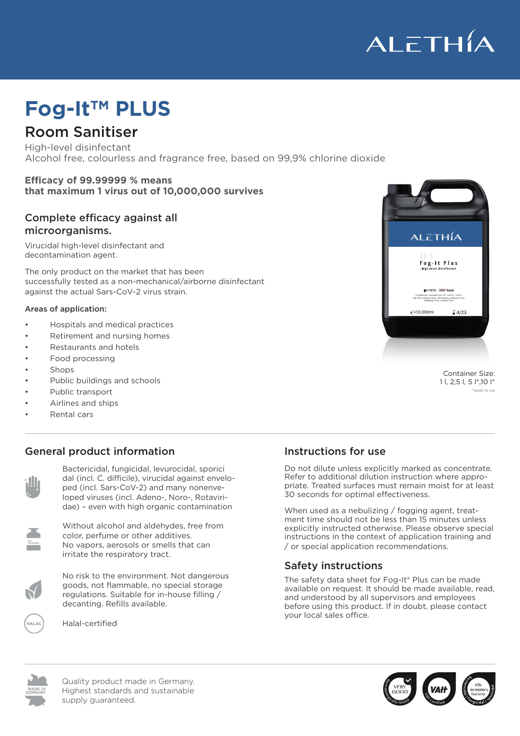

# **Fog-ItTM PLUS**

### Room Sanitiser

High-level disinfectant Alcohol free, colourless and fragrance free, based on 99,9% chlorine dioxide

#### **Efficacy of 99.99999 % means that maximum 1 virus out of 10,000,000 survives**

#### Complete efficacy against all microorganisms.

Virucidal high-level disinfectant and decontamination agent.

The only product on the market that has been successfully tested as a non-mechanical/airborne disinfectant against the actual Sars-CoV-2 virus strain.

### Areas of application:

- Hospitals and medical practices
- Retirement and nursing homes
- Restaurants and hotels
- Food processing
- Shops
- Public buildings and schools
- Public transport.<br>• Public transport.
- Airlines and ships
- Rental cars

BAuA-Nr. 94019

### **General product information**



 $\begin{bmatrix} 1 & 1 \\ 1 & 1 \end{bmatrix}$  ped (incl. Sars-CoV-2) and many nonenve-<br>  $\begin{bmatrix} 2 & 3 \\ 7 & 2 \end{bmatrix}$ loped viruses (incl. Adeno-, Noro-, Rotaviri-Bactericidal, fungicidal, levurocidal, sporici **Sactericidal**, fungicidal, levurocidal, sporici dae) – even with high organic contamination<br>dae) – even with high organic contamination **Allgemeine Produktionel** dal (incl. C. difficile), virucidal against envelo-



Without alcohol and aldehydes, free from explicitly instructed other color, perfume or other additives. Ohol, periume of other additives.<br>No vapors, aerosols or smells that can autreizenden Dämpfe, or special appli irritate the respiratory tract.



betriebsinternen Umfüllung. Nachfüllpackungen erhältlich. betriebsinternen Umfüllung. Nachfüllpackungen erhältlich. goods, not flammable, no special storage decanting. Refills available. No risk to the environment. Not dangerous The speciellen Lagervorschriften. Geeignet zur zur zur zur zur zur zu regulations. Suitable for in-house filling / available of request. It



Halal-certified

## $EN17272 - VAH$  listed completely virucidal acc. EN 14476 + DVG;<br>salt free; alcohol free; elementary chlorine free;<br>aldehyde free; residue free  $-10.000m$  $\Box$  4/23

High-level disinfectant

Fog-It Plus

 $AL\overline{\epsilon}TH\overline{A}$ 

Container Size: 1 l, 2,5 l, 5 l\*,10 l\* \*ready to use

#### Instructions for use

Do not dilute unless explicitly marked as concentrate. Refer to additional dilution instruction where appropriate. Treated surfaces must remain moist for at least 30 seconds for optimal effectiveness.

When used as a nebulizing / fogging agent, treatment time should not be less than 15 minutes unless explicitly instructed otherwise. Please observe special instructions in the context of application training and / or special application recommendations.

### Hervorragende Umwelttoleranz. Kein Gefahrgut, nicht entzündlich, keine speziellen Lagervorschriften. Geeignet zur Safety instructions

The safety data sheet for Fog-It® Plus can be made available on request. It should be made available, read, and understood by all supervisors and employees before using this product. If in doubt, please contact your local sales office.



Quality product made in Germany. Highest standards and sustainable supply guaranteed.